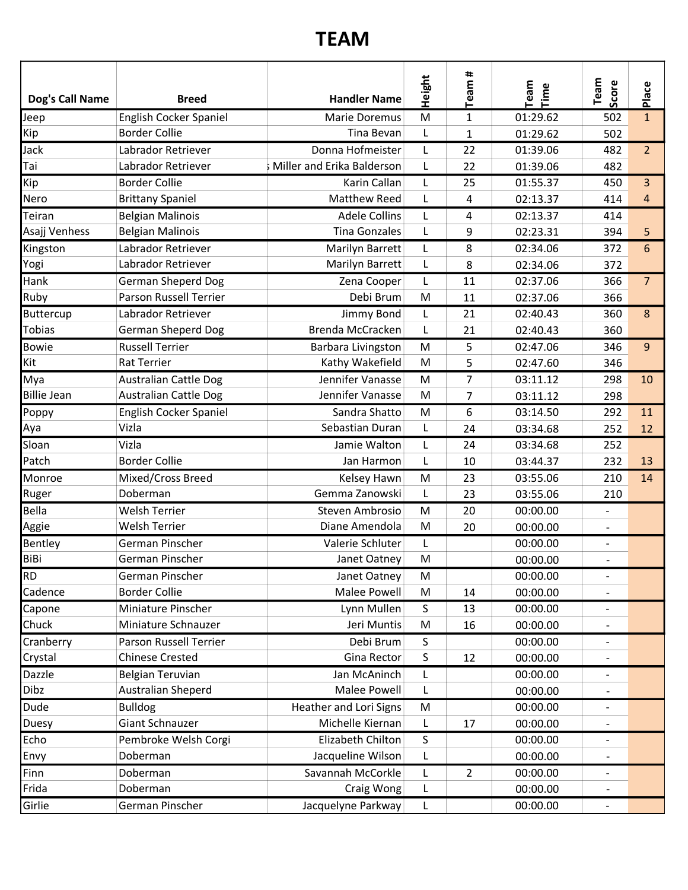## TEAM

| Dog's Call Name    | <b>Breed</b>                 | <b>Handler Name</b>        | Height | Team#          | Team<br>Time | Team<br>Score            | Place          |
|--------------------|------------------------------|----------------------------|--------|----------------|--------------|--------------------------|----------------|
| Jeep               | English Cocker Spaniel       | <b>Marie Doremus</b>       | M      | $\mathbf{1}$   | 01:29.62     | 502                      | $\mathbf{1}$   |
| Kip                | <b>Border Collie</b>         | Tina Bevan                 | L      | 1              | 01:29.62     | 502                      |                |
| Jack               | Labrador Retriever           | Donna Hofmeister           | L      | 22             | 01:39.06     | 482                      | $\overline{2}$ |
| Tai                | Labrador Retriever           | Miller and Erika Balderson | L      | 22             | 01:39.06     | 482                      |                |
| Kip                | <b>Border Collie</b>         | Karin Callan               | L      | 25             | 01:55.37     | 450                      | 3              |
| Nero               | <b>Brittany Spaniel</b>      | Matthew Reed               |        | 4              | 02:13.37     | 414                      | 4              |
| Teiran             | <b>Belgian Malinois</b>      | <b>Adele Collins</b>       | L      | 4              | 02:13.37     | 414                      |                |
| Asajj Venhess      | <b>Belgian Malinois</b>      | <b>Tina Gonzales</b>       | L      | 9              | 02:23.31     | 394                      | 5              |
| Kingston           | Labrador Retriever           | Marilyn Barrett            |        | 8              | 02:34.06     | 372                      | 6              |
| Yogi               | Labrador Retriever           | Marilyn Barrett            | L      | 8              | 02:34.06     | 372                      |                |
| Hank               | <b>German Sheperd Dog</b>    | Zena Cooper                | L      | 11             | 02:37.06     | 366                      | $\overline{7}$ |
| Ruby               | Parson Russell Terrier       | Debi Brum                  | M      | 11             | 02:37.06     | 366                      |                |
| Buttercup          | Labrador Retriever           | Jimmy Bond                 | L      | 21             | 02:40.43     | 360                      | 8              |
| Tobias             | <b>German Sheperd Dog</b>    | Brenda McCracken           | L      | 21             | 02:40.43     | 360                      |                |
| <b>Bowie</b>       | <b>Russell Terrier</b>       | Barbara Livingston         | M      | 5              | 02:47.06     | 346                      | 9              |
| Kit                | Rat Terrier                  | Kathy Wakefield            | M      | 5              | 02:47.60     | 346                      |                |
| Mya                | <b>Australian Cattle Dog</b> | Jennifer Vanasse           | M      | $\overline{7}$ | 03:11.12     | 298                      | 10             |
| <b>Billie Jean</b> | <b>Australian Cattle Dog</b> | Jennifer Vanasse           | M      | 7              | 03:11.12     | 298                      |                |
| Poppy              | English Cocker Spaniel       | Sandra Shatto              | M      | 6              | 03:14.50     | 292                      | 11             |
| Aya                | Vizla                        | Sebastian Duran            | L      | 24             | 03:34.68     | 252                      | 12             |
| Sloan              | Vizla                        | Jamie Walton               | L      | 24             | 03:34.68     | 252                      |                |
| Patch              | <b>Border Collie</b>         | Jan Harmon                 | L      | 10             | 03:44.37     | 232                      | 13             |
| Monroe             | Mixed/Cross Breed            | Kelsey Hawn                | M      | 23             | 03:55.06     | 210                      | 14             |
| Ruger              | Doberman                     | Gemma Zanowski             | L      | 23             | 03:55.06     | 210                      |                |
| Bella              | <b>Welsh Terrier</b>         | Steven Ambrosio            | M      | 20             | 00:00.00     |                          |                |
| Aggie              | <b>Welsh Terrier</b>         | Diane Amendola             | M      | 20             | 00:00.00     | $\blacksquare$           |                |
| Bentley            | German Pinscher              | Valerie Schluter           | L      |                | 00:00.00     |                          |                |
| BiBi               | German Pinscher              | Janet Oatney               | M      |                | 00:00.00     |                          |                |
| <b>RD</b>          | German Pinscher              | Janet Oatney               | M      |                | 00:00.00     |                          |                |
| Cadence            | <b>Border Collie</b>         | Malee Powell               | M      | 14             | 00:00.00     |                          |                |
| Capone             | Miniature Pinscher           | Lynn Mullen                | S      | 13             | 00:00.00     |                          |                |
| Chuck              | Miniature Schnauzer          | Jeri Muntis                | M      | 16             | 00:00.00     |                          |                |
| Cranberry          | Parson Russell Terrier       | Debi Brum                  | S      |                | 00:00.00     | $\overline{\phantom{a}}$ |                |
| Crystal            | <b>Chinese Crested</b>       | Gina Rector                | S      | 12             | 00:00.00     |                          |                |
| Dazzle             | Belgian Teruvian             | Jan McAninch               | L.     |                | 00:00.00     | $\overline{\phantom{a}}$ |                |
| Dibz               | Australian Sheperd           | Malee Powell               |        |                | 00:00.00     |                          |                |
| Dude               | <b>Bulldog</b>               | Heather and Lori Signs     |        |                | 00:00.00     |                          |                |
| Duesy              | Giant Schnauzer              | Michelle Kiernan           | M<br>L | 17             | 00:00.00     |                          |                |
| Echo               |                              | Elizabeth Chilton          |        |                |              |                          |                |
|                    | Pembroke Welsh Corgi         |                            | S      |                | 00:00.00     |                          |                |
| Envy               | Doberman                     | Jacqueline Wilson          | L      |                | 00:00.00     |                          |                |
| Finn               | Doberman                     | Savannah McCorkle          | L.     | $\overline{2}$ | 00:00.00     |                          |                |
| Frida              | Doberman                     | Craig Wong                 |        |                | 00:00.00     |                          |                |
| Girlie             | German Pinscher              | Jacquelyne Parkway         |        |                | 00:00.00     |                          |                |